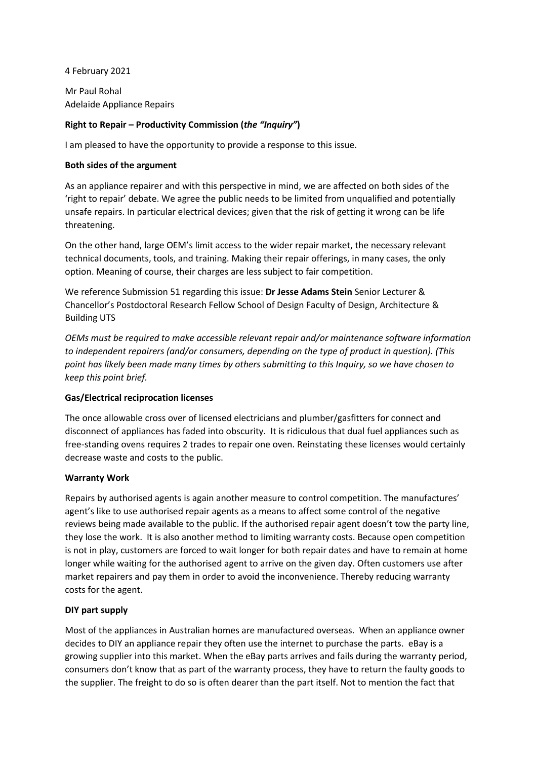4 February 2021

Mr Paul Rohal Adelaide Appliance Repairs

# **Right to Repair – Productivity Commission (***the "Inquiry"***)**

I am pleased to have the opportunity to provide a response to this issue.

## **Both sides of the argument**

As an appliance repairer and with this perspective in mind, we are affected on both sides of the 'right to repair' debate. We agree the public needs to be limited from unqualified and potentially unsafe repairs. In particular electrical devices; given that the risk of getting it wrong can be life threatening.

On the other hand, large OEM's limit access to the wider repair market, the necessary relevant technical documents, tools, and training. Making their repair offerings, in many cases, the only option. Meaning of course, their charges are less subject to fair competition.

We reference Submission 51 regarding this issue: **Dr Jesse Adams Stein** Senior Lecturer & Chancellor's Postdoctoral Research Fellow School of Design Faculty of Design, Architecture & Building UTS

*OEMs must be required to make accessible relevant repair and/or maintenance software information to independent repairers (and/or consumers, depending on the type of product in question). (This point has likely been made many times by others submitting to this Inquiry, so we have chosen to keep this point brief.*

## **Gas/Electrical reciprocation licenses**

The once allowable cross over of licensed electricians and plumber/gasfitters for connect and disconnect of appliances has faded into obscurity. It is ridiculous that dual fuel appliances such as free-standing ovens requires 2 trades to repair one oven. Reinstating these licenses would certainly decrease waste and costs to the public.

## **Warranty Work**

Repairs by authorised agents is again another measure to control competition. The manufactures' agent's like to use authorised repair agents as a means to affect some control of the negative reviews being made available to the public. If the authorised repair agent doesn't tow the party line, they lose the work. It is also another method to limiting warranty costs. Because open competition is not in play, customers are forced to wait longer for both repair dates and have to remain at home longer while waiting for the authorised agent to arrive on the given day. Often customers use after market repairers and pay them in order to avoid the inconvenience. Thereby reducing warranty costs for the agent.

## **DIY part supply**

Most of the appliances in Australian homes are manufactured overseas. When an appliance owner decides to DIY an appliance repair they often use the internet to purchase the parts. eBay is a growing supplier into this market. When the eBay parts arrives and fails during the warranty period, consumers don't know that as part of the warranty process, they have to return the faulty goods to the supplier. The freight to do so is often dearer than the part itself. Not to mention the fact that